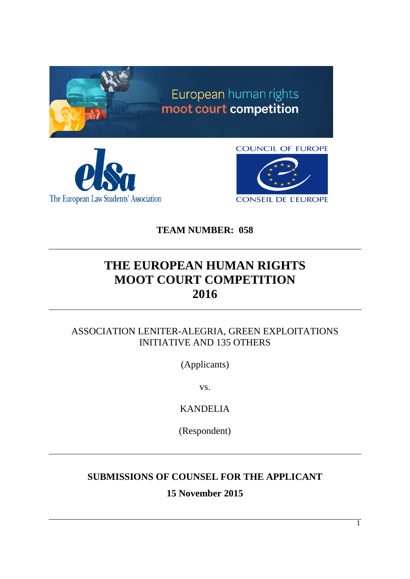





**TEAM NUMBER: 058**

# **THE EUROPEAN HUMAN RIGHTS MOOT COURT COMPETITION 2016**

## ASSOCIATION LENITER-ALEGRIA, GREEN EXPLOITATIONS INITIATIVE AND 135 OTHERS

(Applicants)

vs.

KANDELIA

(Respondent)

## **SUBMISSIONS OF COUNSEL FOR THE APPLICANT**

**15 November 2015**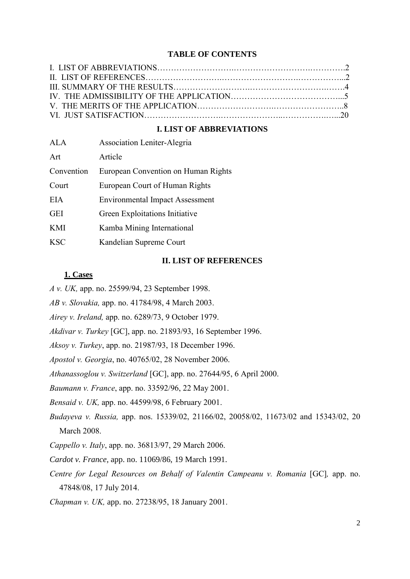#### **TABLE OF CONTENTS**

#### **I. LIST OF ABBREVIATIONS**

| <b>ALA</b> | <b>Association Leniter-Alegria</b>     |
|------------|----------------------------------------|
| Art        | Article                                |
| Convention | European Convention on Human Rights    |
| Court      | European Court of Human Rights         |
| <b>EIA</b> | <b>Environmental Impact Assessment</b> |
| <b>GEI</b> | Green Exploitations Initiative         |
| <b>KMI</b> | Kamba Mining International             |
| <b>KSC</b> | Kandelian Supreme Court                |

#### **II. LIST OF REFERENCES**

#### **1. Cases**

*A v. UK,* app. no. 25599/94, 23 September 1998.

*AB v. Slovakia,* app. no. 41784/98, 4 March 2003.

*Airey v. Ireland,* app. no. 6289/73, 9 October 1979.

*Akdivar v. Turkey* [GC], app. no. 21893/93, 16 September 1996.

*Aksoy v. Turkey*, app. no. 21987/93, 18 December 1996.

*Apostol v. Georgia*, no. 40765/02, 28 November 2006.

*Athanassoglou v. Switzerland* [GC], app. no. 27644/95, 6 April 2000.

*Baumann v. France*, app. no. 33592/96, 22 May 2001.

*Bensaid v. UK,* app. no. 44599/98, 6 February 2001.

*Budayeva v. Russia,* app. nos. 15339/02, 21166/02, 20058/02, 11673/02 and 15343/02, 20 March 2008.

*Cappello v. Italy*, app. no. 36813/97, 29 March 2006.

*Cardot v. France,* app. no. 11069/86, 19 March 1991.

*Centre for Legal Resources on Behalf of Valentin Campeanu v. Romania* [GC]*,* app. no. 47848/08, 17 July 2014.

*Chapman v. UK,* app. no. 27238/95, 18 January 2001.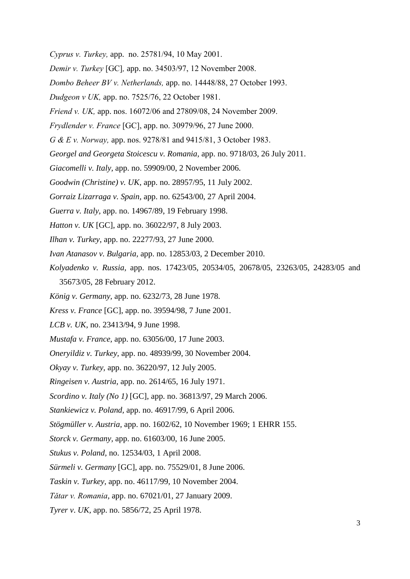- *Cyprus v. Turkey,* app. no. 25781/94, 10 May 2001.
- *Demir v. Turkey* [GC]*,* app. no. 34503/97, 12 November 2008.
- *Dombo Beheer BV v. Netherlands,* app. no. 14448/88, 27 October 1993.
- *Dudgeon v UK,* app. no. 7525/76, 22 October 1981.
- *Friend v. UK,* app. nos. 16072/06 and 27809/08, 24 November 2009.
- *Frydlender v. France* [GC], app. no. 30979/96, 27 June 2000.
- *G & E v. Norway,* app. nos. 9278/81 and 9415/81, 3 October 1983.
- *Georgel and Georgeta Stoicescu v. Romania,* app. no. 9718/03, 26 July 2011.
- *Giacomelli v. Italy,* app. no. 59909/00, 2 November 2006.
- *Goodwin (Christine) v. UK,* app. no. 28957/95, 11 July 2002.
- *Gorraiz Lizarraga v. Spain,* app. no. 62543/00, 27 April 2004.
- *Guerra v. Italy,* app. no. 14967/89, 19 February 1998.
- *Hatton v. UK* [GC], app. no. 36022/97, 8 July 2003.
- *Ilhan v. Turkey*, app. no. 22277/93, 27 June 2000.
- *Ivan Atanasov v. Bulgaria,* app. no. 12853/03, 2 December 2010.
- *Kolyadenko v. Russia,* app. nos. 17423/05, 20534/05, 20678/05, 23263/05, 24283/05 and 35673/05, 28 February 2012.
- *König v. Germany,* app. no. 6232/73, 28 June 1978.
- *Kress v. France* [GC], app. no. 39594/98, 7 June 2001.
- *LCB v. UK,* no. 23413/94, 9 June 1998.
- *Mustafa v. France,* app. no. 63056/00, 17 June 2003.
- *Oneryildiz v. Turkey,* app. no. 48939/99, 30 November 2004.
- *Okyay v. Turkey,* app. no. 36220/97, 12 July 2005.
- *Ringeisen v. Austria,* app. no. 2614/65, 16 July 1971.
- *Scordino v. Italy (No 1)* [GC], app. no. 36813/97, 29 March 2006.
- *Stankiewicz v. Poland,* app. no. 46917/99, 6 April 2006.
- *Stögmüller v. Austria,* app. no. 1602/62, 10 November 1969; 1 EHRR 155.
- *Storck v. Germany,* app. no. 61603/00, 16 June 2005.
- *Stukus v. Poland,* no. 12534/03, 1 April 2008.
- *Sürmeli v. Germany* [GC], app. no. 75529/01, 8 June 2006.
- *Taskin v. Turkey,* app. no. 46117/99, 10 November 2004.
- *Tǎtar v. Romania,* app. no. 67021/01, 27 January 2009.
- *Tyrer v*. *UK,* app. no. 5856/72, 25 April 1978.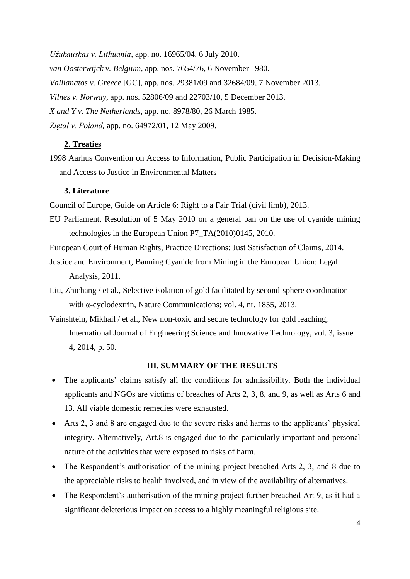*Užukauskas v. Lithuania,* app. no. 16965/04, 6 July 2010. *van Oosterwijck v. Belgium,* app. nos. 7654/76, 6 November 1980. *Vallianatos v. Greece* [GC]*,* app. nos. 29381/09 and 32684/09, 7 November 2013. *Vilnes v. Norway*, app. nos. 52806/09 and 22703/10, 5 December 2013. *X and Y v. The Netherlands,* app. no. 8978/80, 26 March 1985. *Ziętal v. Poland,* app. no. 64972/01, 12 May 2009.

## **2. Treaties**

1998 Aarhus Convention on Access to Information, Public Participation in Decision-Making and Access to Justice in Environmental Matters

#### **3. Literature**

Council of Europe, Guide on Article 6: Right to a Fair Trial (civil limb), 2013.

EU Parliament, Resolution of 5 May 2010 on a general ban on the use of cyanide mining technologies in the European Union P7\_TA(2010)0145, 2010.

European Court of Human Rights, Practice Directions: Just Satisfaction of Claims, 2014.

- Justice and Environment, Banning Cyanide from Mining in the European Union: Legal Analysis, 2011.
- Liu, Zhichang / et al., Selective isolation of gold facilitated by second-sphere coordination with α-cyclodextrin, Nature Communications; vol. 4, nr. 1855, 2013.
- Vainshtein, Mikhail / et al., New non-toxic and secure technology for gold leaching, International Journal of Engineering Science and Innovative Technology, vol. 3, issue 4, 2014, p. 50.

## **III. SUMMARY OF THE RESULTS**

- The applicants' claims satisfy all the conditions for admissibility. Both the individual applicants and NGOs are victims of breaches of Arts 2, 3, 8, and 9, as well as Arts 6 and 13. All viable domestic remedies were exhausted.
- Arts 2, 3 and 8 are engaged due to the severe risks and harms to the applicants' physical integrity. Alternatively, Art.8 is engaged due to the particularly important and personal nature of the activities that were exposed to risks of harm.
- The Respondent's authorisation of the mining project breached Arts 2, 3, and 8 due to the appreciable risks to health involved, and in view of the availability of alternatives.
- The Respondent's authorisation of the mining project further breached Art 9, as it had a significant deleterious impact on access to a highly meaningful religious site.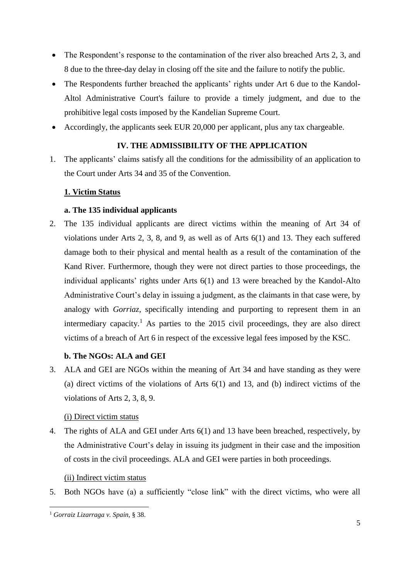- The Respondent's response to the contamination of the river also breached Arts 2, 3, and 8 due to the three-day delay in closing off the site and the failure to notify the public.
- The Respondents further breached the applicants' rights under Art 6 due to the Kandol-Altol Administrative Court's failure to provide a timely judgment, and due to the prohibitive legal costs imposed by the Kandelian Supreme Court.
- Accordingly, the applicants seek EUR 20,000 per applicant, plus any tax chargeable.

## **IV. THE ADMISSIBILITY OF THE APPLICATION**

1. The applicants' claims satisfy all the conditions for the admissibility of an application to the Court under Arts 34 and 35 of the Convention.

## **1. Victim Status**

## **a. The 135 individual applicants**

2. The 135 individual applicants are direct victims within the meaning of Art 34 of violations under Arts 2, 3, 8, and 9, as well as of Arts 6(1) and 13. They each suffered damage both to their physical and mental health as a result of the contamination of the Kand River. Furthermore, though they were not direct parties to those proceedings, the individual applicants' rights under Arts 6(1) and 13 were breached by the Kandol-Alto Administrative Court's delay in issuing a judgment, as the claimants in that case were, by analogy with *Gorriaz,* specifically intending and purporting to represent them in an intermediary capacity.<sup>1</sup> As parties to the 2015 civil proceedings, they are also direct victims of a breach of Art 6 in respect of the excessive legal fees imposed by the KSC.

## **b. The NGOs: ALA and GEI**

3. ALA and GEI are NGOs within the meaning of Art 34 and have standing as they were (a) direct victims of the violations of Arts 6(1) and 13, and (b) indirect victims of the violations of Arts 2, 3, 8, 9.

#### (i) Direct victim status

4. The rights of ALA and GEI under Arts 6(1) and 13 have been breached, respectively, by the Administrative Court's delay in issuing its judgment in their case and the imposition of costs in the civil proceedings. ALA and GEI were parties in both proceedings.

#### (ii) Indirect victim status

5. Both NGOs have (a) a sufficiently "close link" with the direct victims, who were all

<sup>1</sup> *Gorraiz Lizarraga v. Spain*, § 38.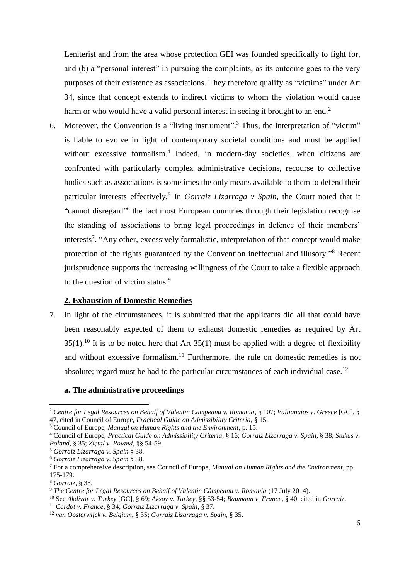Leniterist and from the area whose protection GEI was founded specifically to fight for, and (b) a "personal interest" in pursuing the complaints, as its outcome goes to the very purposes of their existence as associations. They therefore qualify as "victims" under Art 34, since that concept extends to indirect victims to whom the violation would cause harm or who would have a valid personal interest in seeing it brought to an end.<sup>2</sup>

6. Moreover, the Convention is a "living instrument". <sup>3</sup> Thus, the interpretation of "victim" is liable to evolve in light of contemporary societal conditions and must be applied without excessive formalism.<sup>4</sup> Indeed, in modern-day societies, when citizens are confronted with particularly complex administrative decisions, recourse to collective bodies such as associations is sometimes the only means available to them to defend their particular interests effectively.<sup>5</sup> In *Gorraiz Lizarraga v Spain*, the Court noted that it "cannot disregard"<sup>6</sup> the fact most European countries through their legislation recognise the standing of associations to bring legal proceedings in defence of their members' interests<sup>7</sup>. "Any other, excessively formalistic, interpretation of that concept would make protection of the rights guaranteed by the Convention ineffectual and illusory."<sup>8</sup> Recent jurisprudence supports the increasing willingness of the Court to take a flexible approach to the question of victim status.<sup>9</sup>

### **2. Exhaustion of Domestic Remedies**

7. In light of the circumstances, it is submitted that the applicants did all that could have been reasonably expected of them to exhaust domestic remedies as required by Art  $35(1)$ .<sup>10</sup> It is to be noted here that Art  $35(1)$  must be applied with a degree of flexibility and without excessive formalism.<sup>11</sup> Furthermore, the rule on domestic remedies is not absolute; regard must be had to the particular circumstances of each individual case.<sup>12</sup>

#### **a. The administrative proceedings**

<sup>2</sup> *Centre for Legal Resources on Behalf of Valentin Campeanu v. Romania*, § 107; *Vallianatos v. Greece* [GC], § 47, cited in Council of Europe, *Practical Guide on Admissibility Criteria*, § 15.

<sup>3</sup> Council of Europe, *Manual on Human Rights and the Environment*, p. 15.

<sup>4</sup> Council of Europe, *Practical Guide on Admissibility Criteria*, § 16; *Gorraiz Lizarraga v. Spain,* § 38; *Stukus v. Poland*, § 35; *Ziętal v. Poland*, §§ 54-59.

<sup>5</sup> *Gorraiz Lizarraga v. Spain* § 38.

<sup>6</sup> *Gorraiz Lizarraga v. Spain* § 38.

<sup>7</sup> For a comprehensive description, see Council of Europe, *Manual on Human Rights and the Environment*, pp. 175-179.

<sup>8</sup> *Gorraiz*, § 38.

<sup>9</sup> *The Centre for Legal Resources on Behalf of Valentin Câmpeanu v. Romania* (17 July 2014).

<sup>10</sup> See *Akdivar v. Turkey* [GC], § 69; *Aksoy v. Turkey*, §§ 53-54; *Baumann v. France*, § 40, cited in *Gorraiz*.

<sup>11</sup> *Cardot v. France*, § 34; *Gorraiz Lizarraga v. Spain*, § 37.

<sup>12</sup> *van Oosterwijck v. Belgium*, § 35; *Gorraiz Lizarraga v. Spain,* § 35.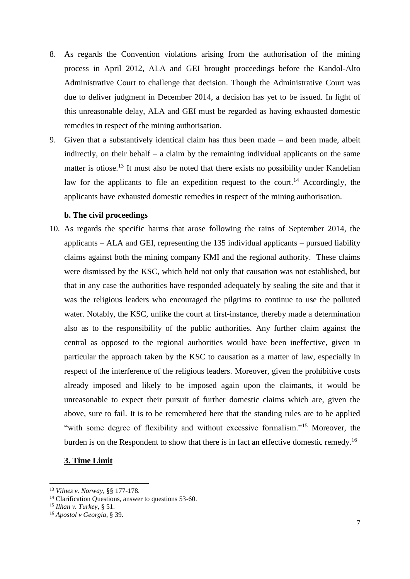- 8. As regards the Convention violations arising from the authorisation of the mining process in April 2012, ALA and GEI brought proceedings before the Kandol-Alto Administrative Court to challenge that decision. Though the Administrative Court was due to deliver judgment in December 2014, a decision has yet to be issued. In light of this unreasonable delay, ALA and GEI must be regarded as having exhausted domestic remedies in respect of the mining authorisation.
- 9. Given that a substantively identical claim has thus been made and been made, albeit indirectly, on their behalf – a claim by the remaining individual applicants on the same matter is otiose.<sup>13</sup> It must also be noted that there exists no possibility under Kandelian law for the applicants to file an expedition request to the court.<sup>14</sup> Accordingly, the applicants have exhausted domestic remedies in respect of the mining authorisation.

## **b. The civil proceedings**

10. As regards the specific harms that arose following the rains of September 2014, the applicants – ALA and GEI, representing the 135 individual applicants – pursued liability claims against both the mining company KMI and the regional authority. These claims were dismissed by the KSC, which held not only that causation was not established, but that in any case the authorities have responded adequately by sealing the site and that it was the religious leaders who encouraged the pilgrims to continue to use the polluted water. Notably, the KSC, unlike the court at first-instance, thereby made a determination also as to the responsibility of the public authorities. Any further claim against the central as opposed to the regional authorities would have been ineffective, given in particular the approach taken by the KSC to causation as a matter of law, especially in respect of the interference of the religious leaders. Moreover, given the prohibitive costs already imposed and likely to be imposed again upon the claimants, it would be unreasonable to expect their pursuit of further domestic claims which are, given the above, sure to fail. It is to be remembered here that the standing rules are to be applied "with some degree of flexibility and without excessive formalism."<sup>15</sup> Moreover, the burden is on the Respondent to show that there is in fact an effective domestic remedy.<sup>16</sup>

#### **3. Time Limit**

<sup>13</sup> *Vilnes v. Norway*, §§ 177-178.

<sup>&</sup>lt;sup>14</sup> Clarification Questions, answer to questions 53-60.

<sup>15</sup> *Ilhan v. Turkey,* § 51.

<sup>16</sup> *Apostol v Georgia*, § 39.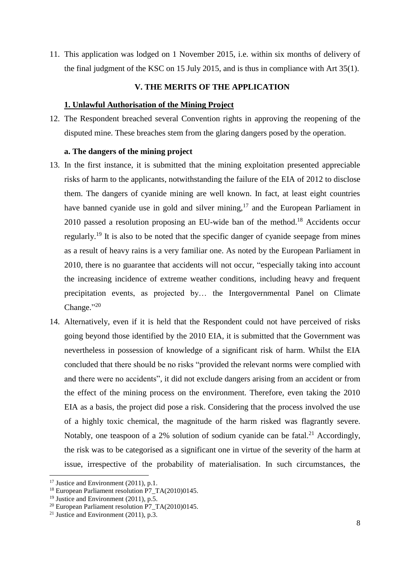11. This application was lodged on 1 November 2015, i.e. within six months of delivery of the final judgment of the KSC on 15 July 2015, and is thus in compliance with Art 35(1).

## **V. THE MERITS OF THE APPLICATION**

## **1. Unlawful Authorisation of the Mining Project**

12. The Respondent breached several Convention rights in approving the reopening of the disputed mine. These breaches stem from the glaring dangers posed by the operation.

## **a. The dangers of the mining project**

- 13. In the first instance, it is submitted that the mining exploitation presented appreciable risks of harm to the applicants, notwithstanding the failure of the EIA of 2012 to disclose them. The dangers of cyanide mining are well known. In fact, at least eight countries have banned cyanide use in gold and silver mining,  $17$  and the European Parliament in 2010 passed a resolution proposing an EU-wide ban of the method. <sup>18</sup> Accidents occur regularly.<sup>19</sup> It is also to be noted that the specific danger of cyanide seepage from mines as a result of heavy rains is a very familiar one. As noted by the European Parliament in 2010, there is no guarantee that accidents will not occur, "especially taking into account the increasing incidence of extreme weather conditions, including heavy and frequent precipitation events, as projected by… the Intergovernmental Panel on Climate Change."20
- 14. Alternatively, even if it is held that the Respondent could not have perceived of risks going beyond those identified by the 2010 EIA, it is submitted that the Government was nevertheless in possession of knowledge of a significant risk of harm. Whilst the EIA concluded that there should be no risks "provided the relevant norms were complied with and there were no accidents", it did not exclude dangers arising from an accident or from the effect of the mining process on the environment. Therefore, even taking the 2010 EIA as a basis, the project did pose a risk. Considering that the process involved the use of a highly toxic chemical, the magnitude of the harm risked was flagrantly severe. Notably, one teaspoon of a 2% solution of sodium cyanide can be fatal.<sup>21</sup> Accordingly, the risk was to be categorised as a significant one in virtue of the severity of the harm at issue, irrespective of the probability of materialisation. In such circumstances, the

 $17$  Justice and Environment (2011), p.1.

<sup>18</sup> European Parliament resolution P7\_TA(2010)0145.

<sup>&</sup>lt;sup>19</sup> Justice and Environment (2011), p.5.

<sup>&</sup>lt;sup>20</sup> European Parliament resolution P7\_TA(2010)0145.

<sup>&</sup>lt;sup>21</sup> Justice and Environment  $(2011)$ , p.3.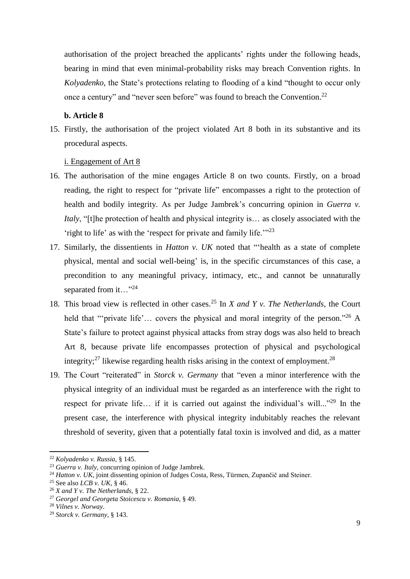authorisation of the project breached the applicants' rights under the following heads, bearing in mind that even minimal-probability risks may breach Convention rights. In *Kolyadenko,* the State's protections relating to flooding of a kind "thought to occur only once a century" and "never seen before" was found to breach the Convention.<sup>22</sup>

## **b. Article 8**

15. Firstly, the authorisation of the project violated Art 8 both in its substantive and its procedural aspects.

### i. Engagement of Art 8

- 16. The authorisation of the mine engages Article 8 on two counts. Firstly, on a broad reading, the right to respect for "private life" encompasses a right to the protection of health and bodily integrity. As per Judge Jambrek's concurring opinion in *Guerra v. Italy*, "[t]he protection of health and physical integrity is… as closely associated with the 'right to life' as with the 'respect for private and family life.'"<sup>23</sup>
- 17. Similarly, the dissentients in *Hatton v. UK* noted that "'health as a state of complete physical, mental and social well-being' is, in the specific circumstances of this case, a precondition to any meaningful privacy, intimacy, etc., and cannot be unnaturally separated from it..."<sup>24</sup>
- 18. This broad view is reflected in other cases.<sup>25</sup> In *X and Y v. The Netherlands*, the Court held that "'private life'... covers the physical and moral integrity of the person."<sup>26</sup> A State's failure to protect against physical attacks from stray dogs was also held to breach Art 8, because private life encompasses protection of physical and psychological integrity;<sup>27</sup> likewise regarding health risks arising in the context of employment.<sup>28</sup>
- 19. The Court "reiterated" in *Storck v. Germany* that "even a minor interference with the physical integrity of an individual must be regarded as an interference with the right to respect for private life... if it is carried out against the individual's will..."<sup>29</sup> In the present case, the interference with physical integrity indubitably reaches the relevant threshold of severity, given that a potentially fatal toxin is involved and did, as a matter

<sup>22</sup> *Kolyadenko v. Russia,* § 145.

<sup>23</sup> *Guerra v. Italy,* concurring opinion of Judge Jambrek.

<sup>&</sup>lt;sup>24</sup> *Hatton v. UK*, joint dissenting opinion of Judges Costa, Ress, Türmen, Zupančič and Steiner.

<sup>25</sup> See also *LCB v. UK*, § 46.

<sup>26</sup> *X and Y v. The Netherlands,* § 22.

<sup>27</sup> *Georgel and Georgeta Stoicescu v. Romania*, § 49.

<sup>28</sup> *Vilnes v. Norway*.

<sup>29</sup> *Storck v. Germany*, § 143.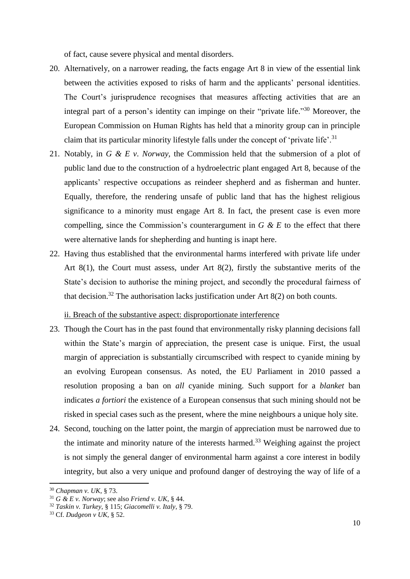of fact, cause severe physical and mental disorders.

- 20. Alternatively, on a narrower reading, the facts engage Art 8 in view of the essential link between the activities exposed to risks of harm and the applicants' personal identities. The Court's jurisprudence recognises that measures affecting activities that are an integral part of a person's identity can impinge on their "private life." <sup>30</sup> Moreover, the European Commission on Human Rights has held that a minority group can in principle claim that its particular minority lifestyle falls under the concept of 'private life'.<sup>31</sup>
- 21. Notably, in *G & E v*. *Norway,* the Commission held that the submersion of a plot of public land due to the construction of a hydroelectric plant engaged Art 8, because of the applicants' respective occupations as reindeer shepherd and as fisherman and hunter. Equally, therefore, the rendering unsafe of public land that has the highest religious significance to a minority must engage Art 8. In fact, the present case is even more compelling, since the Commission's counterargument in *G & E* to the effect that there were alternative lands for shepherding and hunting is inapt here.
- 22. Having thus established that the environmental harms interfered with private life under Art 8(1), the Court must assess, under Art 8(2), firstly the substantive merits of the State's decision to authorise the mining project, and secondly the procedural fairness of that decision.<sup>32</sup> The authorisation lacks justification under Art  $8(2)$  on both counts.

ii. Breach of the substantive aspect: disproportionate interference

- 23. Though the Court has in the past found that environmentally risky planning decisions fall within the State's margin of appreciation, the present case is unique. First, the usual margin of appreciation is substantially circumscribed with respect to cyanide mining by an evolving European consensus. As noted, the EU Parliament in 2010 passed a resolution proposing a ban on *all* cyanide mining. Such support for a *blanket* ban indicates *a fortiori* the existence of a European consensus that such mining should not be risked in special cases such as the present, where the mine neighbours a unique holy site.
- 24. Second, touching on the latter point, the margin of appreciation must be narrowed due to the intimate and minority nature of the interests harmed.<sup>33</sup> Weighing against the project is not simply the general danger of environmental harm against a core interest in bodily integrity, but also a very unique and profound danger of destroying the way of life of a

<sup>30</sup> *Chapman v. UK*, § 73.

 $31$  *G & E v. Norway*; see also *Friend v. UK*, § 44.

<sup>32</sup> *Taskin v. Turkey,* § 115; *Giacomelli v. Italy,* § 79.

<sup>33</sup> Cf. *Dudgeon v UK,* § 52.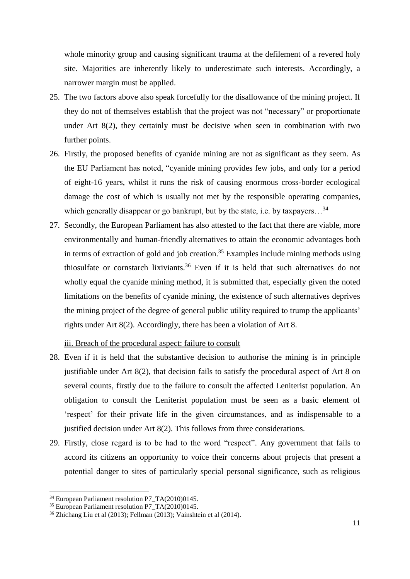whole minority group and causing significant trauma at the defilement of a revered holy site. Majorities are inherently likely to underestimate such interests. Accordingly, a narrower margin must be applied.

- 25. The two factors above also speak forcefully for the disallowance of the mining project. If they do not of themselves establish that the project was not "necessary" or proportionate under Art 8(2), they certainly must be decisive when seen in combination with two further points.
- 26. Firstly, the proposed benefits of cyanide mining are not as significant as they seem. As the EU Parliament has noted, "cyanide mining provides few jobs, and only for a period of eight-16 years, whilst it runs the risk of causing enormous cross-border ecological damage the cost of which is usually not met by the responsible operating companies, which generally disappear or go bankrupt, but by the state, i.e. by taxpayers...<sup>34</sup>
- 27. Secondly, the European Parliament has also attested to the fact that there are viable, more environmentally and human-friendly alternatives to attain the economic advantages both in terms of extraction of gold and job creation. <sup>35</sup> Examples include mining methods using thiosulfate or cornstarch lixiviants. <sup>36</sup> Even if it is held that such alternatives do not wholly equal the cyanide mining method, it is submitted that, especially given the noted limitations on the benefits of cyanide mining, the existence of such alternatives deprives the mining project of the degree of general public utility required to trump the applicants' rights under Art 8(2). Accordingly, there has been a violation of Art 8.

#### iii. Breach of the procedural aspect: failure to consult

- 28. Even if it is held that the substantive decision to authorise the mining is in principle justifiable under Art 8(2), that decision fails to satisfy the procedural aspect of Art 8 on several counts, firstly due to the failure to consult the affected Leniterist population. An obligation to consult the Leniterist population must be seen as a basic element of 'respect' for their private life in the given circumstances, and as indispensable to a justified decision under Art 8(2). This follows from three considerations.
- 29. Firstly, close regard is to be had to the word "respect". Any government that fails to accord its citizens an opportunity to voice their concerns about projects that present a potential danger to sites of particularly special personal significance, such as religious

<sup>&</sup>lt;sup>34</sup> European Parliament resolution P7\_TA(2010)0145.

<sup>&</sup>lt;sup>35</sup> European Parliament resolution P7 $TA(2010)0145$ .

<sup>36</sup> Zhichang Liu et al (2013); Fellman (2013); Vainshtein et al (2014).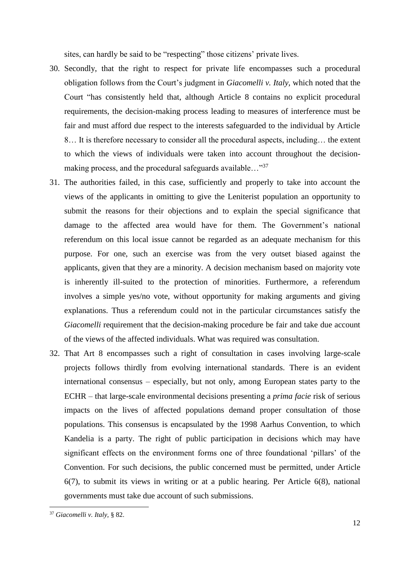sites, can hardly be said to be "respecting" those citizens' private lives.

- 30. Secondly, that the right to respect for private life encompasses such a procedural obligation follows from the Court's judgment in *Giacomelli v. Italy,* which noted that the Court "has consistently held that, although Article 8 contains no explicit procedural requirements, the decision-making process leading to measures of interference must be fair and must afford due respect to the interests safeguarded to the individual by Article 8… It is therefore necessary to consider all the procedural aspects, including… the extent to which the views of individuals were taken into account throughout the decisionmaking process, and the procedural safeguards available..."<sup>37</sup>
- 31. The authorities failed, in this case, sufficiently and properly to take into account the views of the applicants in omitting to give the Leniterist population an opportunity to submit the reasons for their objections and to explain the special significance that damage to the affected area would have for them. The Government's national referendum on this local issue cannot be regarded as an adequate mechanism for this purpose. For one, such an exercise was from the very outset biased against the applicants, given that they are a minority. A decision mechanism based on majority vote is inherently ill-suited to the protection of minorities. Furthermore, a referendum involves a simple yes/no vote, without opportunity for making arguments and giving explanations. Thus a referendum could not in the particular circumstances satisfy the *Giacomelli* requirement that the decision-making procedure be fair and take due account of the views of the affected individuals. What was required was consultation.
- 32. That Art 8 encompasses such a right of consultation in cases involving large-scale projects follows thirdly from evolving international standards. There is an evident international consensus – especially, but not only, among European states party to the ECHR – that large-scale environmental decisions presenting a *prima facie* risk of serious impacts on the lives of affected populations demand proper consultation of those populations. This consensus is encapsulated by the 1998 Aarhus Convention, to which Kandelia is a party. The right of public participation in decisions which may have significant effects on the environment forms one of three foundational 'pillars' of the Convention. For such decisions, the public concerned must be permitted, under Article 6(7), to submit its views in writing or at a public hearing. Per Article 6(8), national governments must take due account of such submissions.

<sup>37</sup> *Giacomelli v. Italy,* § 82.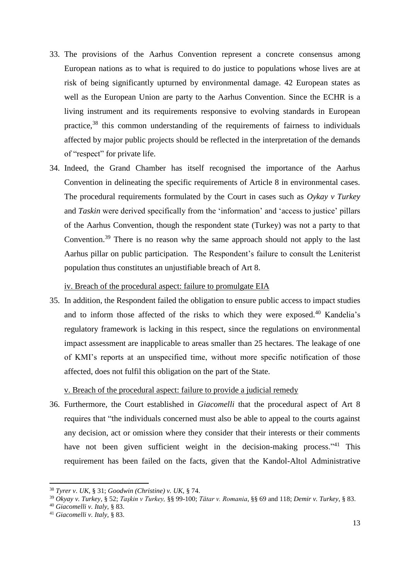- 33. The provisions of the Aarhus Convention represent a concrete consensus among European nations as to what is required to do justice to populations whose lives are at risk of being significantly upturned by environmental damage. 42 European states as well as the European Union are party to the Aarhus Convention. Since the ECHR is a living instrument and its requirements responsive to evolving standards in European practice,<sup>38</sup> this common understanding of the requirements of fairness to individuals affected by major public projects should be reflected in the interpretation of the demands of "respect" for private life.
- 34. Indeed, the Grand Chamber has itself recognised the importance of the Aarhus Convention in delineating the specific requirements of Article 8 in environmental cases. The procedural requirements formulated by the Court in cases such as *Oykay v Turkey*  and *Taskin* were derived specifically from the 'information' and 'access to justice' pillars of the Aarhus Convention, though the respondent state (Turkey) was not a party to that Convention.<sup>39</sup> There is no reason why the same approach should not apply to the last Aarhus pillar on public participation. The Respondent's failure to consult the Leniterist population thus constitutes an unjustifiable breach of Art 8.

iv. Breach of the procedural aspect: failure to promulgate EIA

35. In addition, the Respondent failed the obligation to ensure public access to impact studies and to inform those affected of the risks to which they were exposed.<sup>40</sup> Kandelia's regulatory framework is lacking in this respect, since the regulations on environmental impact assessment are inapplicable to areas smaller than 25 hectares. The leakage of one of KMI's reports at an unspecified time, without more specific notification of those affected, does not fulfil this obligation on the part of the State.

v. Breach of the procedural aspect: failure to provide a judicial remedy

36. Furthermore, the Court established in *Giacomelli* that the procedural aspect of Art 8 requires that "the individuals concerned must also be able to appeal to the courts against any decision, act or omission where they consider that their interests or their comments have not been given sufficient weight in the decision-making process."<sup>41</sup> This requirement has been failed on the facts, given that the Kandol-Altol Administrative

<sup>38</sup> *Tyrer v*. *UK,* § 31; *Goodwin (Christine) v. UK,* § 74.

<sup>39</sup> *Okyay v. Turkey*, § 52; *Taşkin v Turkey,* §§ 99-100; *Tǎtar v. Romania*, §§ 69 and 118; *Demir v. Turkey*, § 83.

<sup>40</sup> *Giacomelli v. Italy,* § 83.

<sup>41</sup> *Giacomelli v. Italy,* § 83.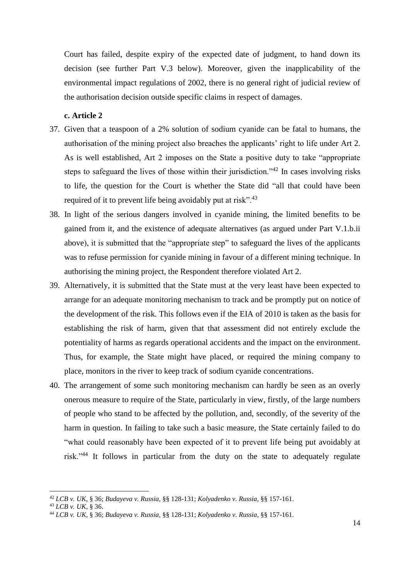Court has failed, despite expiry of the expected date of judgment, to hand down its decision (see further Part V.3 below). Moreover, given the inapplicability of the environmental impact regulations of 2002, there is no general right of judicial review of the authorisation decision outside specific claims in respect of damages.

#### **c. Article 2**

- 37. Given that a teaspoon of a 2% solution of sodium cyanide can be fatal to humans, the authorisation of the mining project also breaches the applicants' right to life under Art 2. As is well established, Art 2 imposes on the State a positive duty to take "appropriate steps to safeguard the lives of those within their jurisdiction.<sup>42</sup> In cases involving risks to life, the question for the Court is whether the State did "all that could have been required of it to prevent life being avoidably put at risk".<sup>43</sup>
- 38. In light of the serious dangers involved in cyanide mining, the limited benefits to be gained from it, and the existence of adequate alternatives (as argued under Part V.1.b.ii above), it is submitted that the "appropriate step" to safeguard the lives of the applicants was to refuse permission for cyanide mining in favour of a different mining technique. In authorising the mining project, the Respondent therefore violated Art 2.
- 39. Alternatively, it is submitted that the State must at the very least have been expected to arrange for an adequate monitoring mechanism to track and be promptly put on notice of the development of the risk. This follows even if the EIA of 2010 is taken as the basis for establishing the risk of harm, given that that assessment did not entirely exclude the potentiality of harms as regards operational accidents and the impact on the environment. Thus, for example, the State might have placed, or required the mining company to place, monitors in the river to keep track of sodium cyanide concentrations.
- 40. The arrangement of some such monitoring mechanism can hardly be seen as an overly onerous measure to require of the State, particularly in view, firstly, of the large numbers of people who stand to be affected by the pollution, and, secondly, of the severity of the harm in question. In failing to take such a basic measure, the State certainly failed to do "what could reasonably have been expected of it to prevent life being put avoidably at risk."<sup>44</sup> It follows in particular from the duty on the state to adequately regulate

<sup>42</sup> *LCB v. UK,* § 36; *Budayeva v. Russia,* §§ 128-131; *Kolyadenko v. Russia*, §§ 157-161.

<sup>43</sup> *LCB v. UK,* § 36.

<sup>44</sup> *LCB v. UK*, § 36; *Budayeva v. Russia,* §§ 128-131; *Kolyadenko v. Russia,* §§ 157-161.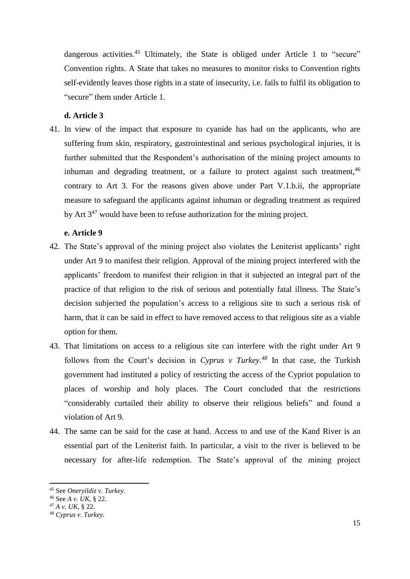dangerous activities.<sup>45</sup> Ultimately, the State is obliged under Article 1 to "secure" Convention rights. A State that takes no measures to monitor risks to Convention rights self-evidently leaves those rights in a state of insecurity, i.e. fails to fulfil its obligation to "secure" them under Article 1.

#### **d. Article 3**

41. In view of the impact that exposure to cyanide has had on the applicants, who are suffering from skin, respiratory, gastrointestinal and serious psychological injuries, it is further submitted that the Respondent's authorisation of the mining project amounts to inhuman and degrading treatment, or a failure to protect against such treatment,  $46$ contrary to Art 3. For the reasons given above under Part V.1.b.ii, the appropriate measure to safeguard the applicants against inhuman or degrading treatment as required by Art  $3^{47}$  would have been to refuse authorization for the mining project.

## **e. Article 9**

- 42. The State's approval of the mining project also violates the Leniterist applicants' right under Art 9 to manifest their religion. Approval of the mining project interfered with the applicants' freedom to manifest their religion in that it subjected an integral part of the practice of that religion to the risk of serious and potentially fatal illness. The State's decision subjected the population's access to a religious site to such a serious risk of harm, that it can be said in effect to have removed access to that religious site as a viable option for them.
- 43. That limitations on access to a religious site can interfere with the right under Art 9 follows from the Court's decision in *Cyprus v Turkey.<sup>48</sup>* In that case, the Turkish government had instituted a policy of restricting the access of the Cypriot population to places of worship and holy places. The Court concluded that the restrictions "considerably curtailed their ability to observe their religious beliefs" and found a violation of Art 9.
- 44. The same can be said for the case at hand. Access to and use of the Kand River is an essential part of the Leniterist faith. In particular, a visit to the river is believed to be necessary for after-life redemption. The State's approval of the mining project

<sup>45</sup> See *Oneryildiz v. Turkey.*

<sup>46</sup> See *A v. UK*, § 22.

<sup>47</sup> *A v. UK*, § 22.

<sup>48</sup> *Cyprus v. Turkey.*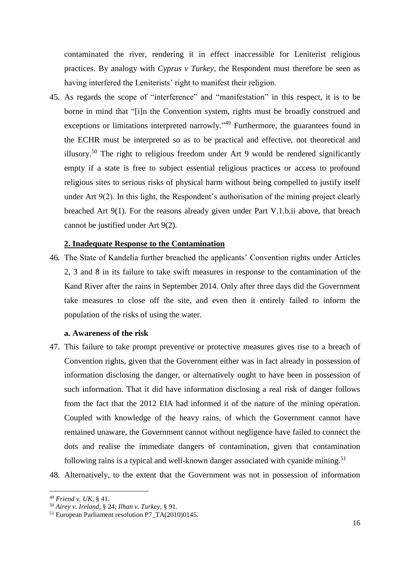contaminated the river, rendering it in effect inaccessible for Leniterist religious practices. By analogy with *Cyprus v Turkey,* the Respondent must therefore be seen as having interfered the Leniterists' right to manifest their religion.

45. As regards the scope of "interference" and "manifestation" in this respect, it is to be borne in mind that "[i]n the Convention system, rights must be broadly construed and exceptions or limitations interpreted narrowly."<sup>49</sup> Furthermore, the guarantees found in the ECHR must be interpreted so as to be practical and effective, not theoretical and illusory.<sup>50</sup> The right to religious freedom under Art 9 would be rendered significantly empty if a state is free to subject essential religious practices or access to profound religious sites to serious risks of physical harm without being compelled to justify itself under Art 9(2). In this light, the Respondent's authorisation of the mining project clearly breached Art 9(1). For the reasons already given under Part V.1.b.ii above, that breach cannot be justified under Art 9(2).

#### **2. Inadequate Response to the Contamination**

46. The State of Kandelia further breached the applicants' Convention rights under Articles 2, 3 and 8 in its failure to take swift measures in response to the contamination of the Kand River after the rains in September 2014. Only after three days did the Government take measures to close off the site, and even then it entirely failed to inform the population of the risks of using the water.

#### **a. Awareness of the risk**

- 47. This failure to take prompt preventive or protective measures gives rise to a breach of Convention rights, given that the Government either was in fact already in possession of information disclosing the danger, or alternatively ought to have been in possession of such information. That it did have information disclosing a real risk of danger follows from the fact that the 2012 EIA had informed it of the nature of the mining operation. Coupled with knowledge of the heavy rains, of which the Government cannot have remained unaware, the Government cannot without negligence have failed to connect the dots and realise the immediate dangers of contamination, given that contamination following rains is a typical and well-known danger associated with cyanide mining.<sup>51</sup>
- 48. Alternatively, to the extent that the Government was not in possession of information

<sup>49</sup> *Friend v. UK,* § 41.

<sup>50</sup> *Airey v. Ireland,* § 24; *Ilhan v. Turkey*, § 91.

<sup>51</sup> European Parliament resolution P7\_TA(2010)0145.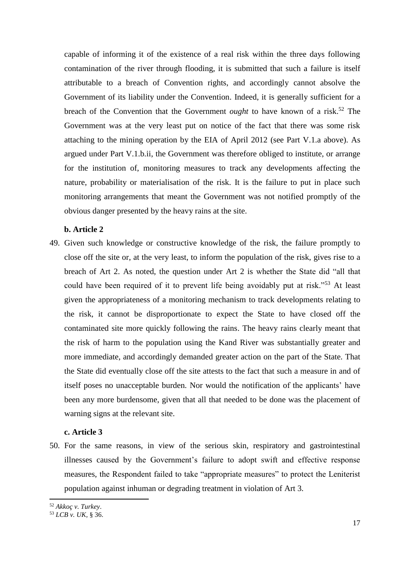capable of informing it of the existence of a real risk within the three days following contamination of the river through flooding, it is submitted that such a failure is itself attributable to a breach of Convention rights, and accordingly cannot absolve the Government of its liability under the Convention. Indeed, it is generally sufficient for a breach of the Convention that the Government *ought* to have known of a risk. <sup>52</sup> The Government was at the very least put on notice of the fact that there was some risk attaching to the mining operation by the EIA of April 2012 (see Part V.1.a above). As argued under Part V.1.b.ii, the Government was therefore obliged to institute, or arrange for the institution of, monitoring measures to track any developments affecting the nature, probability or materialisation of the risk. It is the failure to put in place such monitoring arrangements that meant the Government was not notified promptly of the obvious danger presented by the heavy rains at the site.

## **b. Article 2**

49. Given such knowledge or constructive knowledge of the risk, the failure promptly to close off the site or, at the very least, to inform the population of the risk, gives rise to a breach of Art 2. As noted, the question under Art 2 is whether the State did "all that could have been required of it to prevent life being avoidably put at risk."<sup>53</sup> At least given the appropriateness of a monitoring mechanism to track developments relating to the risk, it cannot be disproportionate to expect the State to have closed off the contaminated site more quickly following the rains. The heavy rains clearly meant that the risk of harm to the population using the Kand River was substantially greater and more immediate, and accordingly demanded greater action on the part of the State. That the State did eventually close off the site attests to the fact that such a measure in and of itself poses no unacceptable burden. Nor would the notification of the applicants' have been any more burdensome, given that all that needed to be done was the placement of warning signs at the relevant site.

#### **c. Article 3**

50. For the same reasons, in view of the serious skin, respiratory and gastrointestinal illnesses caused by the Government's failure to adopt swift and effective response measures, the Respondent failed to take "appropriate measures" to protect the Leniterist population against inhuman or degrading treatment in violation of Art 3.

<sup>52</sup> *Akkoç v. Turkey*.

<sup>53</sup> *LCB v. UK,* § 36.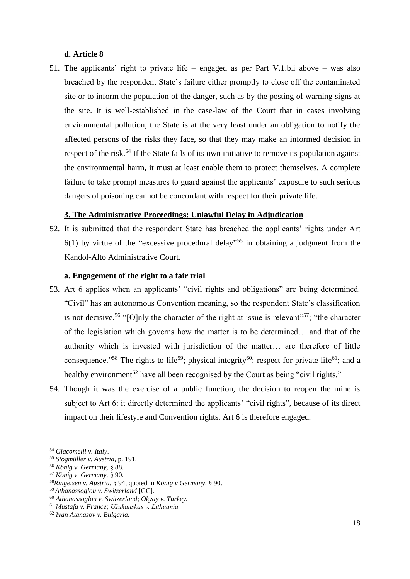#### **d. Article 8**

51. The applicants' right to private life – engaged as per Part V.1.b.i above – was also breached by the respondent State's failure either promptly to close off the contaminated site or to inform the population of the danger, such as by the posting of warning signs at the site. It is well-established in the case-law of the Court that in cases involving environmental pollution, the State is at the very least under an obligation to notify the affected persons of the risks they face, so that they may make an informed decision in respect of the risk.<sup>54</sup> If the State fails of its own initiative to remove its population against the environmental harm, it must at least enable them to protect themselves. A complete failure to take prompt measures to guard against the applicants' exposure to such serious dangers of poisoning cannot be concordant with respect for their private life.

## **3. The Administrative Proceedings: Unlawful Delay in Adjudication**

52. It is submitted that the respondent State has breached the applicants' rights under Art  $6(1)$  by virtue of the "excessive procedural delay"<sup>55</sup> in obtaining a judgment from the Kandol-Alto Administrative Court.

### **a. Engagement of the right to a fair trial**

- 53. Art 6 applies when an applicants' "civil rights and obligations" are being determined. "Civil" has an autonomous Convention meaning, so the respondent State's classification is not decisive.<sup>56</sup> "[O]nly the character of the right at issue is relevant"<sup>57</sup>; "the character of the legislation which governs how the matter is to be determined… and that of the authority which is invested with jurisdiction of the matter… are therefore of little consequence."<sup>58</sup> The rights to life<sup>59</sup>; physical integrity<sup>60</sup>; respect for private life<sup>61</sup>; and a healthy environment<sup>62</sup> have all been recognised by the Court as being "civil rights."
- 54. Though it was the exercise of a public function, the decision to reopen the mine is subject to Art 6: it directly determined the applicants' "civil rights", because of its direct impact on their lifestyle and Convention rights. Art 6 is therefore engaged.

<sup>54</sup> *Giacomelli v. Italy*.

<sup>55</sup> *Stögmüller v. Austria,* p. 191.

<sup>56</sup> *König v. Germany,* § 88.

<sup>57</sup> *König v. Germany,* § 90.

<sup>58</sup>*Ringeisen v. Austria*, § 94, quoted in *König v Germany*, § 90.

<sup>59</sup> *Athanassoglou v. Switzerland* [GC].

<sup>60</sup> *Athanassoglou v. Switzerland*; *Okyay v. Turkey.*

<sup>61</sup> *Mustafa v. France; Užukauskas v. Lithuania.*

<sup>62</sup> *Ivan Atanasov v. Bulgaria.*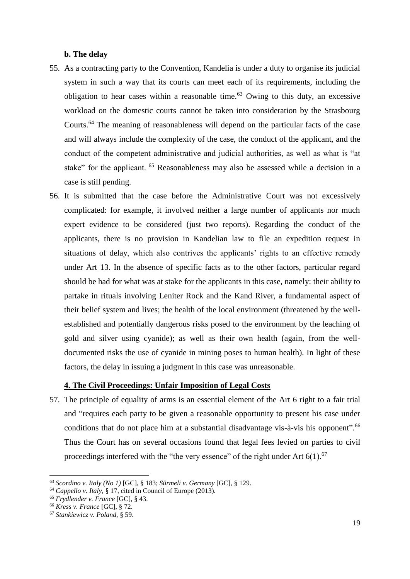#### **b. The delay**

- 55. As a contracting party to the Convention, Kandelia is under a duty to organise its judicial system in such a way that its courts can meet each of its requirements, including the obligation to hear cases within a reasonable time.<sup>63</sup> Owing to this duty, an excessive workload on the domestic courts cannot be taken into consideration by the Strasbourg Courts.<sup>64</sup> The meaning of reasonableness will depend on the particular facts of the case and will always include the complexity of the case, the conduct of the applicant, and the conduct of the competent administrative and judicial authorities, as well as what is "at stake" for the applicant. <sup>65</sup> Reasonableness may also be assessed while a decision in a case is still pending.
- 56. It is submitted that the case before the Administrative Court was not excessively complicated: for example, it involved neither a large number of applicants nor much expert evidence to be considered (just two reports). Regarding the conduct of the applicants, there is no provision in Kandelian law to file an expedition request in situations of delay, which also contrives the applicants' rights to an effective remedy under Art 13. In the absence of specific facts as to the other factors, particular regard should be had for what was at stake for the applicants in this case, namely: their ability to partake in rituals involving Leniter Rock and the Kand River, a fundamental aspect of their belief system and lives; the health of the local environment (threatened by the wellestablished and potentially dangerous risks posed to the environment by the leaching of gold and silver using cyanide); as well as their own health (again, from the welldocumented risks the use of cyanide in mining poses to human health). In light of these factors, the delay in issuing a judgment in this case was unreasonable.

#### **4. The Civil Proceedings: Unfair Imposition of Legal Costs**

57. The principle of equality of arms is an essential element of the Art 6 right to a fair trial and "requires each party to be given a reasonable opportunity to present his case under conditions that do not place him at a substantial disadvantage vis-à-vis his opponent".<sup>66</sup> Thus the Court has on several occasions found that legal fees levied on parties to civil proceedings interfered with the "the very essence" of the right under Art  $6(1)$ .<sup>67</sup>

<sup>63</sup> *Scordino v. Italy (No 1)* [GC], § 183; *Sürmeli v. Germany* [GC], § 129.

<sup>64</sup> *Cappello v. Italy*, § 17, cited in Council of Europe (2013)*.*

<sup>65</sup> *Frydlender v. France* [GC], § 43.

<sup>66</sup> *Kress v. France* [GC], § 72.

<sup>67</sup> *Stankiewicz v. Poland,* § 59.